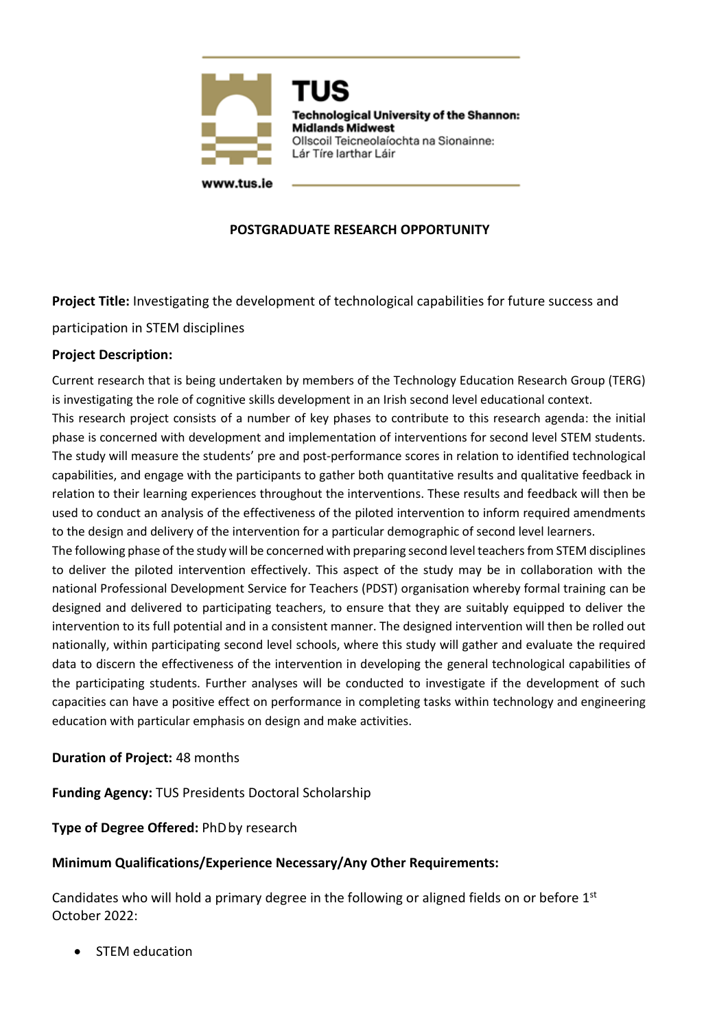

**Technological University of the Shannon: Midlands Midwest** Ollscoil Teicneolaíochta na Sionainne: Lár Tíre Iarthar Láir

## **POSTGRADUATE RESEARCH OPPORTUNITY**

**Project Title:** Investigating the development of technological capabilities for future success and

participation in STEM disciplines

### **Project Description:**

Current research that is being undertaken by members of the Technology Education Research Group (TERG) is investigating the role of cognitive skills development in an Irish second level educational context. This research project consists of a number of key phases to contribute to this research agenda: the initial phase is concerned with development and implementation of interventions for second level STEM students. The study will measure the students' pre and post-performance scores in relation to identified technological capabilities, and engage with the participants to gather both quantitative results and qualitative feedback in relation to their learning experiences throughout the interventions. These results and feedback will then be used to conduct an analysis of the effectiveness of the piloted intervention to inform required amendments to the design and delivery of the intervention for a particular demographic of second level learners.

The following phase of the study will be concerned with preparing second level teachers from STEM disciplines to deliver the piloted intervention effectively. This aspect of the study may be in collaboration with the national Professional Development Service for Teachers (PDST) organisation whereby formal training can be designed and delivered to participating teachers, to ensure that they are suitably equipped to deliver the intervention to its full potential and in a consistent manner. The designed intervention will then be rolled out nationally, within participating second level schools, where this study will gather and evaluate the required data to discern the effectiveness of the intervention in developing the general technological capabilities of the participating students. Further analyses will be conducted to investigate if the development of such capacities can have a positive effect on performance in completing tasks within technology and engineering education with particular emphasis on design and make activities.

# **Duration of Project:** 48 months

**Funding Agency:** TUS Presidents Doctoral Scholarship

### **Type of Degree Offered:** PhDby research

### **Minimum Qualifications/Experience Necessary/Any Other Requirements:**

Candidates who will hold a primary degree in the following or aligned fields on or before  $1<sup>st</sup>$ October 2022:

STEM education